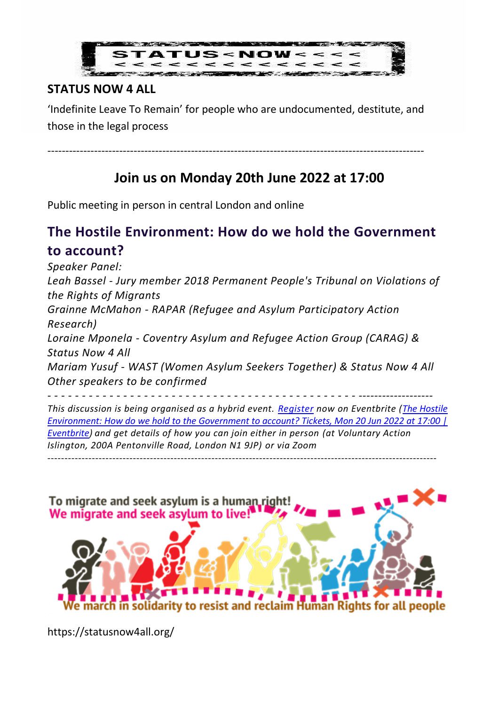

## **STATUS NOW 4 ALL**

'Indefinite Leave To Remain' for people who are undocumented, destitute, and those in the legal process

---------------------------------------------------------------------------------------------------------

## **Join us on Monday 20th June 2022 at 17:00**

Public meeting in person in central London and online

## **The Hostile Environment: How do we hold the Government to account?**

*Speaker Panel: Leah Bassel - Jury member 2018 Permanent People's Tribunal on Violations of the Rights of Migrants Grainne McMahon - RAPAR (Refugee and Asylum Participatory Action Research) Loraine Mponela - Coventry Asylum and Refugee Action Group (CARAG) & Status Now 4 All Mariam Yusuf - WAST (Women Asylum Seekers Together) & Status Now 4 All Other speakers to be confirmed*

*- - - - - - - - - - - - - - - - - - - - - - - - - - - - - - - - - - - - - - - - - - - - - ------------------- This discussion is being organised as a hybrid event. [Register](https://www.eventbrite.co.uk/e/the-hostile-environment-how-do-we-hold-to-the-government-to-account-tickets-359280195737?utm_campaign=post_publish&utm_medium=email&utm_source=eventbrite&utm_content=shortLinkNewEmail) now on Eventbrite [\(The Hostile](https://www.eventbrite.co.uk/e/the-hostile-environment-how-do-we-hold-to-the-government-to-account-tickets-359280195737?utm_campaign=post_publish&utm_medium=email&utm_source=eventbrite&utm_content=shortLinkNewEmail)  Environment: How [do we hold to the Government to account? Tickets, Mon 20 Jun 2022 at 17:00 |](https://www.eventbrite.co.uk/e/the-hostile-environment-how-do-we-hold-to-the-government-to-account-tickets-359280195737?utm_campaign=post_publish&utm_medium=email&utm_source=eventbrite&utm_content=shortLinkNewEmail)  [Eventbrite\)](https://www.eventbrite.co.uk/e/the-hostile-environment-how-do-we-hold-to-the-government-to-account-tickets-359280195737?utm_campaign=post_publish&utm_medium=email&utm_source=eventbrite&utm_content=shortLinkNewEmail) and get details of how you can join either in person (at Voluntary Action Islington, 200A Pentonville Road, London N1 9JP) or via Zoom* ------------------------------------------------------------------------------------------------------------------



https://statusnow4all.org/